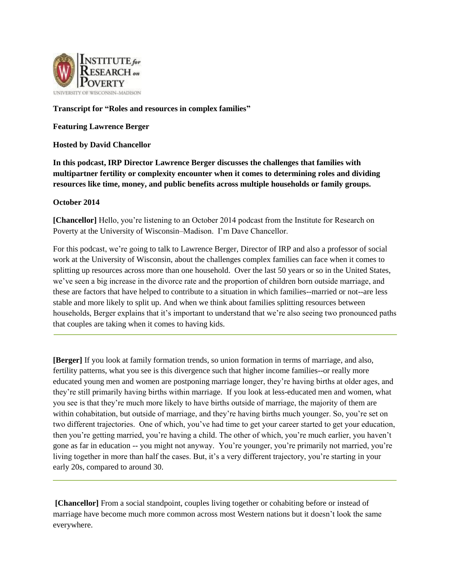

## **Transcript for "Roles and resources in complex families"**

**Featuring Lawrence Berger**

**Hosted by David Chancellor**

**In this podcast, IRP Director Lawrence Berger discusses the challenges that families with multipartner fertility or complexity encounter when it comes to determining roles and dividing resources like time, money, and public benefits across multiple households or family groups.**

## **October 2014**

**[Chancellor]** Hello, you're listening to an October 2014 podcast from the Institute for Research on Poverty at the University of Wisconsin–Madison. I'm Dave Chancellor.

For this podcast, we're going to talk to Lawrence Berger, Director of IRP and also a professor of social work at the University of Wisconsin, about the challenges complex families can face when it comes to splitting up resources across more than one household. Over the last 50 years or so in the United States, we've seen a big increase in the divorce rate and the proportion of children born outside marriage, and these are factors that have helped to contribute to a situation in which families--married or not--are less stable and more likely to split up. And when we think about families splitting resources between households, Berger explains that it's important to understand that we're also seeing two pronounced paths that couples are taking when it comes to having kids.

**[Berger]** If you look at family formation trends, so union formation in terms of marriage, and also, fertility patterns, what you see is this divergence such that higher income families--or really more educated young men and women are postponing marriage longer, they're having births at older ages, and they're still primarily having births within marriage. If you look at less-educated men and women, what you see is that they're much more likely to have births outside of marriage, the majority of them are within cohabitation, but outside of marriage, and they're having births much younger. So, you're set on two different trajectories. One of which, you've had time to get your career started to get your education, then you're getting married, you're having a child. The other of which, you're much earlier, you haven't gone as far in education -- you might not anyway. You're younger, you're primarily not married, you're living together in more than half the cases. But, it's a very different trajectory, you're starting in your early 20s, compared to around 30.

**[Chancellor]** From a social standpoint, couples living together or cohabiting before or instead of marriage have become much more common across most Western nations but it doesn't look the same everywhere.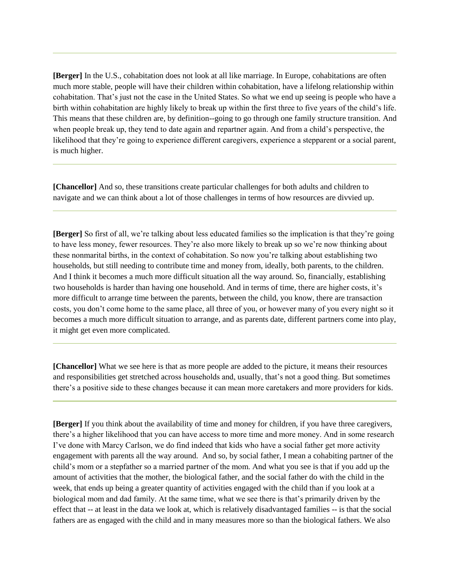**[Berger]** In the U.S., cohabitation does not look at all like marriage. In Europe, cohabitations are often much more stable, people will have their children within cohabitation, have a lifelong relationship within cohabitation. That's just not the case in the United States. So what we end up seeing is people who have a birth within cohabitation are highly likely to break up within the first three to five years of the child's life. This means that these children are, by definition--going to go through one family structure transition. And when people break up, they tend to date again and repartner again. And from a child's perspective, the likelihood that they're going to experience different caregivers, experience a stepparent or a social parent, is much higher.

**[Chancellor]** And so, these transitions create particular challenges for both adults and children to navigate and we can think about a lot of those challenges in terms of how resources are divvied up.

**[Berger]** So first of all, we're talking about less educated families so the implication is that they're going to have less money, fewer resources. They're also more likely to break up so we're now thinking about these nonmarital births, in the context of cohabitation. So now you're talking about establishing two households, but still needing to contribute time and money from, ideally, both parents, to the children. And I think it becomes a much more difficult situation all the way around. So, financially, establishing two households is harder than having one household. And in terms of time, there are higher costs, it's more difficult to arrange time between the parents, between the child, you know, there are transaction costs, you don't come home to the same place, all three of you, or however many of you every night so it becomes a much more difficult situation to arrange, and as parents date, different partners come into play, it might get even more complicated.

**[Chancellor]** What we see here is that as more people are added to the picture, it means their resources and responsibilities get stretched across households and, usually, that's not a good thing. But sometimes there's a positive side to these changes because it can mean more caretakers and more providers for kids.

**[Berger]** If you think about the availability of time and money for children, if you have three caregivers, there's a higher likelihood that you can have access to more time and more money. And in some research I've done with Marcy Carlson, we do find indeed that kids who have a social father get more activity engagement with parents all the way around. And so, by social father, I mean a cohabiting partner of the child's mom or a stepfather so a married partner of the mom. And what you see is that if you add up the amount of activities that the mother, the biological father, and the social father do with the child in the week, that ends up being a greater quantity of activities engaged with the child than if you look at a biological mom and dad family. At the same time, what we see there is that's primarily driven by the effect that -- at least in the data we look at, which is relatively disadvantaged families -- is that the social fathers are as engaged with the child and in many measures more so than the biological fathers. We also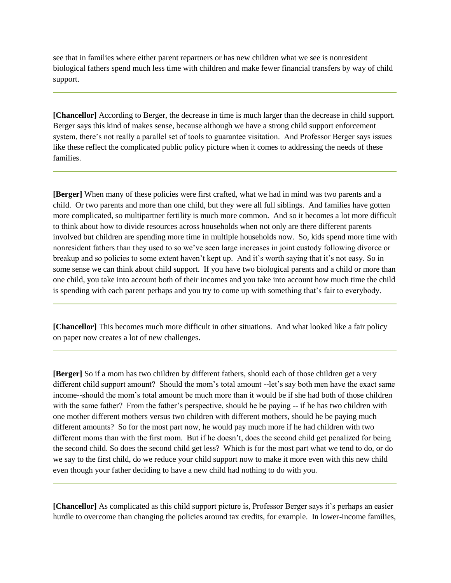see that in families where either parent repartners or has new children what we see is nonresident biological fathers spend much less time with children and make fewer financial transfers by way of child support.

**[Chancellor]** According to Berger, the decrease in time is much larger than the decrease in child support. Berger says this kind of makes sense, because although we have a strong child support enforcement system, there's not really a parallel set of tools to guarantee visitation. And Professor Berger says issues like these reflect the complicated public policy picture when it comes to addressing the needs of these families.

**[Berger]** When many of these policies were first crafted, what we had in mind was two parents and a child. Or two parents and more than one child, but they were all full siblings. And families have gotten more complicated, so multipartner fertility is much more common. And so it becomes a lot more difficult to think about how to divide resources across households when not only are there different parents involved but children are spending more time in multiple households now. So, kids spend more time with nonresident fathers than they used to so we've seen large increases in joint custody following divorce or breakup and so policies to some extent haven't kept up. And it's worth saying that it's not easy. So in some sense we can think about child support. If you have two biological parents and a child or more than one child, you take into account both of their incomes and you take into account how much time the child is spending with each parent perhaps and you try to come up with something that's fair to everybody.

**[Chancellor]** This becomes much more difficult in other situations. And what looked like a fair policy on paper now creates a lot of new challenges.

**[Berger]** So if a mom has two children by different fathers, should each of those children get a very different child support amount? Should the mom's total amount --let's say both men have the exact same income--should the mom's total amount be much more than it would be if she had both of those children with the same father? From the father's perspective, should he be paying -- if he has two children with one mother different mothers versus two children with different mothers, should he be paying much different amounts? So for the most part now, he would pay much more if he had children with two different moms than with the first mom. But if he doesn't, does the second child get penalized for being the second child. So does the second child get less? Which is for the most part what we tend to do, or do we say to the first child, do we reduce your child support now to make it more even with this new child even though your father deciding to have a new child had nothing to do with you.

**[Chancellor]** As complicated as this child support picture is, Professor Berger says it's perhaps an easier hurdle to overcome than changing the policies around tax credits, for example. In lower-income families,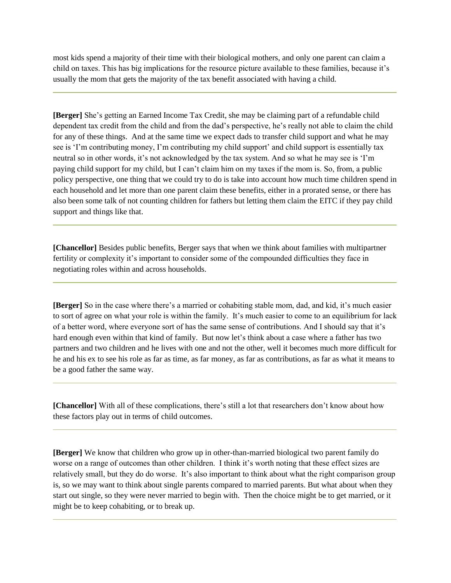most kids spend a majority of their time with their biological mothers, and only one parent can claim a child on taxes. This has big implications for the resource picture available to these families, because it's usually the mom that gets the majority of the tax benefit associated with having a child.

**[Berger]** She's getting an Earned Income Tax Credit, she may be claiming part of a refundable child dependent tax credit from the child and from the dad's perspective, he's really not able to claim the child for any of these things. And at the same time we expect dads to transfer child support and what he may see is 'I'm contributing money, I'm contributing my child support' and child support is essentially tax neutral so in other words, it's not acknowledged by the tax system. And so what he may see is 'I'm paying child support for my child, but I can't claim him on my taxes if the mom is. So, from, a public policy perspective, one thing that we could try to do is take into account how much time children spend in each household and let more than one parent claim these benefits, either in a prorated sense, or there has also been some talk of not counting children for fathers but letting them claim the EITC if they pay child support and things like that.

**[Chancellor]** Besides public benefits, Berger says that when we think about families with multipartner fertility or complexity it's important to consider some of the compounded difficulties they face in negotiating roles within and across households.

**[Berger]** So in the case where there's a married or cohabiting stable mom, dad, and kid, it's much easier to sort of agree on what your role is within the family. It's much easier to come to an equilibrium for lack of a better word, where everyone sort of has the same sense of contributions. And I should say that it's hard enough even within that kind of family. But now let's think about a case where a father has two partners and two children and he lives with one and not the other, well it becomes much more difficult for he and his ex to see his role as far as time, as far money, as far as contributions, as far as what it means to be a good father the same way.

**[Chancellor]** With all of these complications, there's still a lot that researchers don't know about how these factors play out in terms of child outcomes.

**[Berger]** We know that children who grow up in other-than-married biological two parent family do worse on a range of outcomes than other children. I think it's worth noting that these effect sizes are relatively small, but they do do worse. It's also important to think about what the right comparison group is, so we may want to think about single parents compared to married parents. But what about when they start out single, so they were never married to begin with. Then the choice might be to get married, or it might be to keep cohabiting, or to break up.